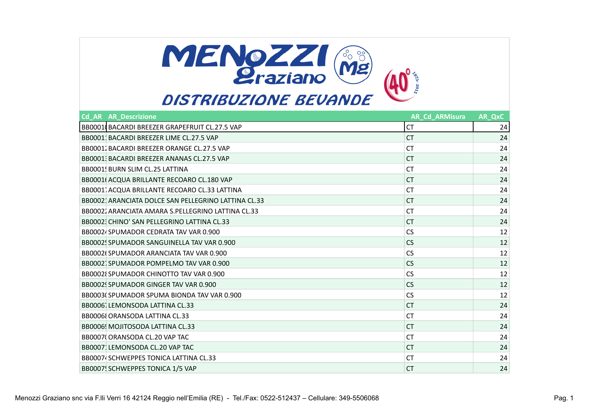

| <b>Cd AR AR Descrizione</b>                          | <b>AR Cd ARMisura</b> | AR QxC |
|------------------------------------------------------|-----------------------|--------|
| BB0001(BACARDI BREEZER GRAPEFRUIT CL.27.5 VAP        | <b>CT</b>             | 24     |
| BB00011 BACARDI BREEZER LIME CL.27.5 VAP             | <b>CT</b>             | 24     |
| BB00011 BACARDI BREEZER ORANGE CL.27.5 VAP           | <b>CT</b>             | 24     |
| BB0001 BACARDI BREEZER ANANAS CL.27.5 VAP            | СT                    | 24     |
| BB0001! BURN SLIM CL.25 LATTINA                      | <b>CT</b>             | 24     |
| BB0001( ACQUA BRILLANTE RECOARO CL.180 VAP           | <b>CT</b>             | 24     |
| BB00011ACQUA BRILLANTE RECOARO CL.33 LATTINA         | <b>CT</b>             | 24     |
| BB00021 ARANCIATA DOLCE SAN PELLEGRINO LATTINA CL.33 | <b>CT</b>             | 24     |
| BB00021 ARANCIATA AMARA S.PELLEGRINO LATTINA CL.33   | СT                    | 24     |
| BB00023 CHINO' SAN PELLEGRINO LATTINA CL.33          | <b>CT</b>             | 24     |
| BB00024 SPUMADOR CEDRATA TAV VAR 0.900               | <b>CS</b>             | 12     |
| BB0002! SPUMADOR SANGUINELLA TAV VAR 0.900           | <b>CS</b>             | 12     |
| BB0002(SPUMADOR ARANCIATA TAV VAR 0.900              | <b>CS</b>             | 12     |
| BB00021SPUMADOR POMPELMO TAV VAR 0.900               | <b>CS</b>             | 12     |
| BB00021 SPUMADOR CHINOTTO TAV VAR 0.900              | <b>CS</b>             | 12     |
| BB0002! SPUMADOR GINGER TAV VAR 0.900                | <b>CS</b>             | 12     |
| BB0003(SPUMADOR SPUMA BIONDA TAV VAR 0.900           | <b>CS</b>             | 12     |
| BB00061 LEMONSODA LATTINA CL.33                      | <b>CT</b>             | 24     |
| BB0006 ORANSODA LATTINA CL.33                        | СT                    | 24     |
| BB0006! MOJITOSODA LATTINA CL.33                     | <b>CT</b>             | 24     |
| BB0007 ORANSODA CL.20 VAP TAC                        | СT                    | 24     |
| BB00071LEMONSODA CL.20 VAP TAC                       | <b>CT</b>             | 24     |
| BB0007 SCHWEPPES TONICA LATTINA CL.33                | СT                    | 24     |
| BB0007! SCHWEPPES TONICA 1/5 VAP                     | <b>CT</b>             | 24     |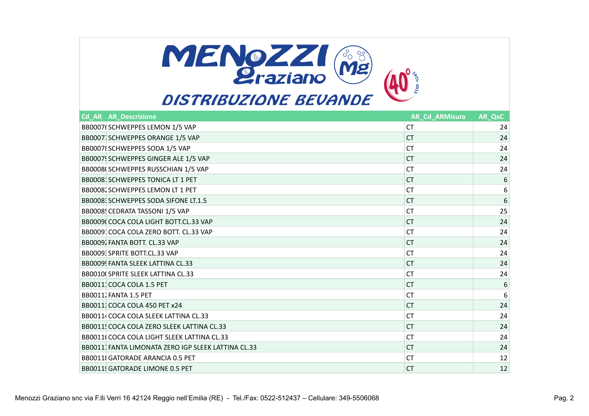

# **DISTRIBUZIONE BEVANDE**

| <b>Cd AR AR Descrizione</b>                         | <b>AR_Cd_ARMisura</b> | AR_QxC |
|-----------------------------------------------------|-----------------------|--------|
| BB0007(SCHWEPPES LEMON 1/5 VAP                      | <b>CT</b>             | 24     |
| BB0007 SCHWEPPES ORANGE 1/5 VAP                     | <b>CT</b>             | 24     |
| BB0007 SCHWEPPES SODA 1/5 VAP                       | <b>CT</b>             | 24     |
| BB0007! SCHWEPPES GINGER ALE 1/5 VAP                | <b>CT</b>             | 24     |
| BB0008(SCHWEPPES RUSSCHIAN 1/5 VAP                  | <b>CT</b>             | 24     |
| BB0008 SCHWEPPES TONICA LT 1 PET                    | <b>CT</b>             | 6      |
| BB00081 SCHWEPPES LEMON LT 1 PET                    | <b>CT</b>             | 6      |
| BB0008 SCHWEPPES SODA SIFONE LT.1.5                 | <b>CT</b>             | 6      |
| BB0008! CEDRATA TASSONI 1/5 VAP                     | <b>CT</b>             | 25     |
| BB0009 COCA COLA LIGHT BOTT.CL.33 VAP               | <b>CT</b>             | 24     |
| BB0009: COCA COLA ZERO BOTT. CL.33 VAP              | <b>CT</b>             | 24     |
| BB00091 FANTA BOTT. CL.33 VAP                       | <b>CT</b>             | 24     |
| BB00093 SPRITE BOTT.CL.33 VAP                       | <b>CT</b>             | 24     |
| BB0009! FANTA SLEEK LATTINA CL.33                   | <b>CT</b>             | 24     |
| BB0010 SPRITE SLEEK LATTINA CL.33                   | <b>CT</b>             | 24     |
| BB0011: COCA COLA 1.5 PET                           | <b>CT</b>             | 6      |
| BB00111 FANTA 1.5 PET                               | <b>CT</b>             | 6      |
| BB00111 COCA COLA 450 PET x24                       | <b>CT</b>             | 24     |
| BB00114 COCA COLA SLEEK LATTINA CL.33               | <b>CT</b>             | 24     |
| BB0011! COCA COLA ZERO SLEEK LATTINA CL.33          | <b>CT</b>             | 24     |
| BB0011(COCA COLA LIGHT SLEEK LATTINA CL.33          | <b>CT</b>             | 24     |
| BB00111 FANTA LIMONATA ZERO IGP SLEEK LATTINA CL.33 | <b>CT</b>             | 24     |
| <b>BB0011 GATORADE ARANCIA 0.5 PET</b>              | <b>CT</b>             | 12     |
| <b>BB0011! GATORADE LIMONE 0.5 PET</b>              | <b>CT</b>             | 12     |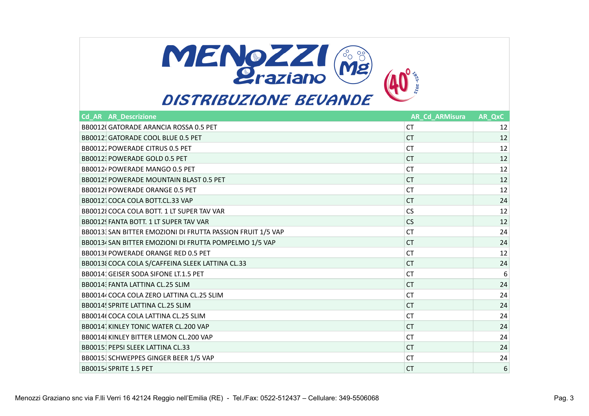

| <b>Cd AR AR Descrizione</b>                                 | <b>AR_Cd_ARMisura</b> | AR_QxC |
|-------------------------------------------------------------|-----------------------|--------|
| BB0012(GATORADE ARANCIA ROSSA 0.5 PET                       | CT.                   | 12     |
| BB0012: GATORADE COOL BLUE 0.5 PET                          | <b>CT</b>             | 12     |
| <b>BB00121 POWERADE CITRUS 0.5 PET</b>                      | <b>CT</b>             | 12     |
| BB0012: POWERADE GOLD 0.5 PET                               | <b>CT</b>             | 12     |
| BB0012 POWERADE MANGO 0.5 PET                               | <b>CT</b>             | 12     |
| BB0012! POWERADE MOUNTAIN BLAST 0.5 PET                     | <b>CT</b>             | 12     |
| BB0012(POWERADE ORANGE 0.5 PET                              | <b>CT</b>             | 12     |
| BB0012 COCA COLA BOTT.CL.33 VAP                             | <b>CT</b>             | 24     |
| BB00121 COCA COLA BOTT. 1 LT SUPER TAV VAR                  | <b>CS</b>             | 12     |
| BB0012! FANTA BOTT. 1 LT SUPER TAV VAR                      | <b>CS</b>             | 12     |
| BB00133 SAN BITTER EMOZIONI DI FRUTTA PASSION FRUIT 1/5 VAP | <b>CT</b>             | 24     |
| BB00134 SAN BITTER EMOZIONI DI FRUTTA POMPELMO 1/5 VAP      | <b>CT</b>             | 24     |
| BB0013(POWERADE ORANGE RED 0.5 PET                          | <b>CT</b>             | 12     |
| BB0013 COCA COLA S/CAFFEINA SLEEK LATTINA CL.33             | <b>CT</b>             | 24     |
| BB0014: GEISER SODA SIFONE LT.1.5 PET                       | <b>CT</b>             | 6      |
| BB00141 FANTA LATTINA CL.25 SLIM                            | <b>CT</b>             | 24     |
| BB00144 COCA COLA ZERO LATTINA CL.25 SLIM                   | <b>CT</b>             | 24     |
| BB0014! SPRITE LATTINA CL.25 SLIM                           | <b>CT</b>             | 24     |
| BB0014(COCA COLA LATTINA CL.25 SLIM                         | <b>CT</b>             | 24     |
| BB00141 KINLEY TONIC WATER CL.200 VAP                       | <b>CT</b>             | 24     |
| BB0014 KINLEY BITTER LEMON CL.200 VAP                       | <b>CT</b>             | 24     |
| BB0015: PEPSI SLEEK LATTINA CL.33                           | <b>CT</b>             | 24     |
| BB0015 SCHWEPPES GINGER BEER 1/5 VAP                        | <b>CT</b>             | 24     |
| BB00154 SPRITE 1.5 PET                                      | <b>CT</b>             | 6      |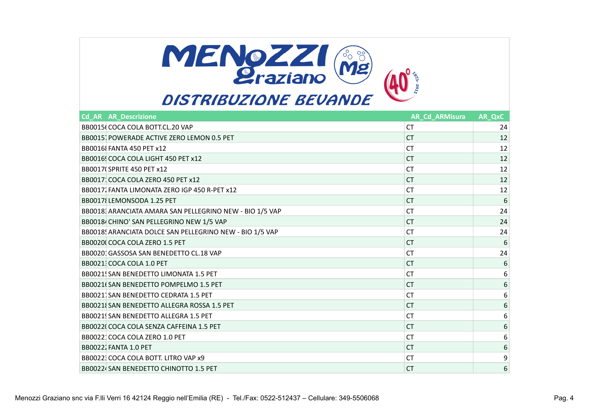

| <b>Cd AR AR Descrizione</b>                              | <b>AR Cd ARMisura</b> | AR QxC           |
|----------------------------------------------------------|-----------------------|------------------|
| BB0015(COCA COLA BOTT.CL.20 VAP                          | <b>CT</b>             | 24               |
| BB00151 POWERADE ACTIVE ZERO LEMON 0.5 PET               | CT.                   | 12               |
| <b>BB0016 FANTA 450 PET x12</b>                          | <b>CT</b>             | 12               |
| BB0016! COCA COLA LIGHT 450 PET x12                      | CT.                   | 12               |
| <b>BB0017 SPRITE 450 PET x12</b>                         | <b>CT</b>             | 12               |
| BB0017: COCA COLA ZERO 450 PET x12                       | CT.                   | 12               |
| BB00171 FANTA LIMONATA ZERO IGP 450 R-PET x12            | <b>CT</b>             | 12               |
| BB0017 LEMONSODA 1.25 PET                                | CT.                   | 6                |
| BB00183 ARANCIATA AMARA SAN PELLEGRINO NEW - BIO 1/5 VAP | <b>CT</b>             | 24               |
| BB00184 CHINO' SAN PELLEGRINO NEW 1/5 VAP                | <b>CT</b>             | 24               |
| BB0018! ARANCIATA DOLCE SAN PELLEGRINO NEW - BIO 1/5 VAP | <b>CT</b>             | 24               |
| BB0020(COCA COLA ZERO 1.5 PET                            | <b>CT</b>             | 6                |
| BB00201 GASSOSA SAN BENEDETTO CL.18 VAP                  | <b>CT</b>             | 24               |
| BB00213 COCA COLA 1.0 PET                                | <b>CT</b>             | $6\phantom{1}6$  |
| BB0021! SAN BENEDETTO LIMONATA 1.5 PET                   | <b>CT</b>             | $\boldsymbol{6}$ |
| BB0021(SAN BENEDETTO POMPELMO 1.5 PET                    | CT.                   | $\sqrt{6}$       |
| BB0021 SAN BENEDETTO CEDRATA 1.5 PET                     | <b>CT</b>             | 6                |
| BB0021 (SAN BENEDETTO ALLEGRA ROSSA 1.5 PET              | CT.                   | $\sqrt{6}$       |
| BB0021! SAN BENEDETTO ALLEGRA 1.5 PET                    | <b>CT</b>             | 6                |
| BB00220 COCA COLA SENZA CAFFEINA 1.5 PET                 | CT.                   | $\sqrt{6}$       |
| BB0022: COCA COLA ZERO 1.0 PET                           | <b>CT</b>             | 6                |
| <b>BB00221 FANTA 1.0 PET</b>                             | CT.                   | $\sqrt{6}$       |
| BB00223 COCA COLA BOTT. LITRO VAP x9                     | <b>CT</b>             | 9                |
| BB00224 SAN BENEDETTO CHINOTTO 1.5 PET                   | CT.                   | 6                |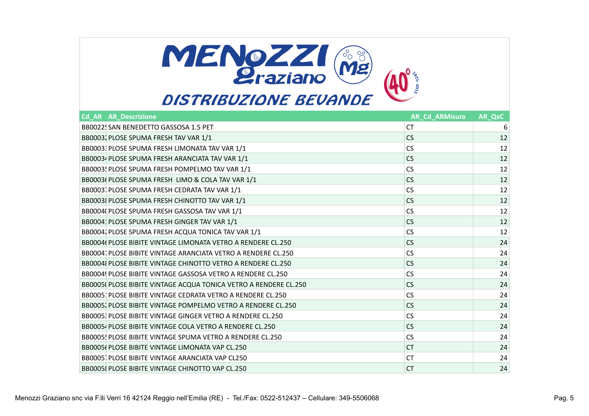

| <b>Cd AR AR Descrizione</b>                                      | <b>AR_Cd_ARMisura</b> | AR_QxC |
|------------------------------------------------------------------|-----------------------|--------|
| BB0022! SAN BENEDETTO GASSOSA 1.5 PET                            | <b>CT</b>             | 6      |
| BB00031 PLOSE SPUMA FRESH TAV VAR 1/1                            | CS.                   | 12     |
| BB0003 PLOSE SPUMA FRESH LIMONATA TAV VAR 1/1                    | <b>CS</b>             | 12     |
| BB00034 PLOSE SPUMA FRESH ARANCIATA TAV VAR 1/1                  | <b>CS</b>             | 12     |
| BB0003! PLOSE SPUMA FRESH POMPELMO TAV VAR 1/1                   | <b>CS</b>             | 12     |
| BB0003( PLOSE SPUMA FRESH LIMO & COLA TAV VAR 1/1                | <b>CS</b>             | 12     |
| BB0003 PLOSE SPUMA FRESH CEDRATA TAV VAR 1/1                     | <b>CS</b>             | 12     |
| BB0003 PLOSE SPUMA FRESH CHINOTTO TAV VAR 1/1                    | <b>CS</b>             | 12     |
| BB0004( PLOSE SPUMA FRESH GASSOSA TAV VAR 1/1                    | <b>CS</b>             | 12     |
| BB0004: PLOSE SPUMA FRESH GINGER TAV VAR 1/1                     | <b>CS</b>             | 12     |
| BB00041 PLOSE SPUMA FRESH ACQUA TONICA TAV VAR 1/1               | <b>CS</b>             | 12     |
| BB0004( PLOSE BIBITE VINTAGE LIMONATA VETRO A RENDERE CL.250     | CS.                   | 24     |
| BB00041 PLOSE BIBITE VINTAGE ARANCIATA VETRO A RENDERE CL.250    | <b>CS</b>             | 24     |
| BB0004{ PLOSE BIBITE VINTAGE CHINOTTO VETRO A RENDERE CL.250     | CS.                   | 24     |
| BB0004! PLOSE BIBITE VINTAGE GASSOSA VETRO A RENDERE CL.250      | <b>CS</b>             | 24     |
| BB0005( PLOSE BIBITE VINTAGE ACQUA TONICA VETRO A RENDERE CL.250 | CS.                   | 24     |
| BB0005: PLOSE BIBITE VINTAGE CEDRATA VETRO A RENDERE CL.250      | <b>CS</b>             | 24     |
| BB0005. PLOSE BIBITE VINTAGE POMPELMO VETRO A RENDERE CL.250     | CS.                   | 24     |
| BB0005: PLOSE BIBITE VINTAGE GINGER VETRO A RENDERE CL.250       | <b>CS</b>             | 24     |
| BB00054 PLOSE BIBITE VINTAGE COLA VETRO A RENDERE CL.250         | CS.                   | 24     |
| BB0005! PLOSE BIBITE VINTAGE SPUMA VETRO A RENDERE CL.250        | <b>CS</b>             | 24     |
| BB0005( PLOSE BIBITE VINTAGE LIMONATA VAP CL.250                 | CT.                   | 24     |
| BB00051 PLOSE BIBITE VINTAGE ARANCIATA VAP CL250                 | <b>CT</b>             | 24     |
| BB0005{ PLOSE BIBITE VINTAGE CHINOTTO VAP CL.250                 | <b>CT</b>             | 24     |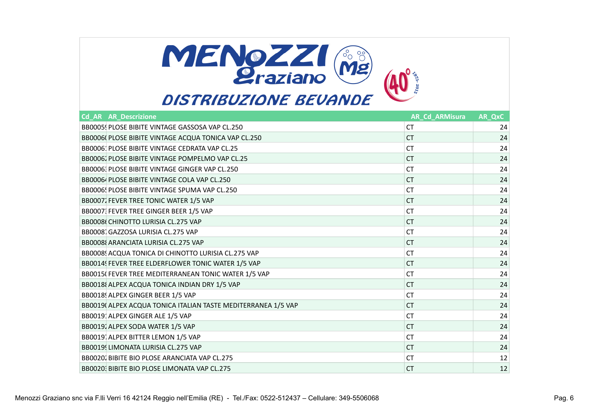

| <b>Cd AR AR Descrizione</b>                                   | <b>AR_Cd_ARMisura</b> | AR_QxC |
|---------------------------------------------------------------|-----------------------|--------|
| BB0005! PLOSE BIBITE VINTAGE GASSOSA VAP CL.250               | <b>CT</b>             | 24     |
| BB0006( PLOSE BIBITE VINTAGE ACQUA TONICA VAP CL.250          | <b>CT</b>             | 24     |
| BB0006: PLOSE BIBITE VINTAGE CEDRATA VAP CL.25                | <b>CT</b>             | 24     |
| BB00061 PLOSE BIBITE VINTAGE POMPELMO VAP CL.25               | <b>CT</b>             | 24     |
| BB00061 PLOSE BIBITE VINTAGE GINGER VAP CL.250                | <b>CT</b>             | 24     |
| BB00064 PLOSE BIBITE VINTAGE COLA VAP CL.250                  | <b>CT</b>             | 24     |
| BB0006! PLOSE BIBITE VINTAGE SPUMA VAP CL.250                 | <b>CT</b>             | 24     |
| BB00071 FEVER TREE TONIC WATER 1/5 VAP                        | <b>CT</b>             | 24     |
| BB0007: FEVER TREE GINGER BEER 1/5 VAP                        | <b>CT</b>             | 24     |
| BB0008(CHINOTTO LURISIA CL.275 VAP                            | <b>CT</b>             | 24     |
| BB00081 GAZZOSA LURISIA CL.275 VAP                            | <b>CT</b>             | 24     |
| BB0008 ARANCIATA LURISIA CL.275 VAP                           | <b>CT</b>             | 24     |
| BB0008 ACQUA TONICA DI CHINOTTO LURISIA CL.275 VAP            | <b>CT</b>             | 24     |
| BB0014! FEVER TREE ELDERFLOWER TONIC WATER 1/5 VAP            | <b>CT</b>             | 24     |
| BB0015(FEVER TREE MEDITERRANEAN TONIC WATER 1/5 VAP           | <b>CT</b>             | 24     |
| BB0018 ALPEX ACQUA TONICA INDIAN DRY 1/5 VAP                  | <b>CT</b>             | 24     |
| BB0018! ALPEX GINGER BEER 1/5 VAP                             | <b>CT</b>             | 24     |
| BB0019( ALPEX ACQUA TONICA ITALIAN TASTE MEDITERRANEA 1/5 VAP | <b>CT</b>             | 24     |
| BB0019 ALPEX GINGER ALE 1/5 VAP                               | <b>CT</b>             | 24     |
| BB00191 ALPEX SODA WATER 1/5 VAP                              | <b>CT</b>             | 24     |
| BB00191 ALPEX BITTER LEMON 1/5 VAP                            | <b>CT</b>             | 24     |
| BB0019 LIMONATA LURISIA CL.275 VAP                            | <b>CT</b>             | 24     |
| BB00201 BIBITE BIO PLOSE ARANCIATA VAP CL.275                 | <b>CT</b>             | 12     |
| BB00203 BIBITE BIO PLOSE LIMONATA VAP CL.275                  | <b>CT</b>             | 12     |